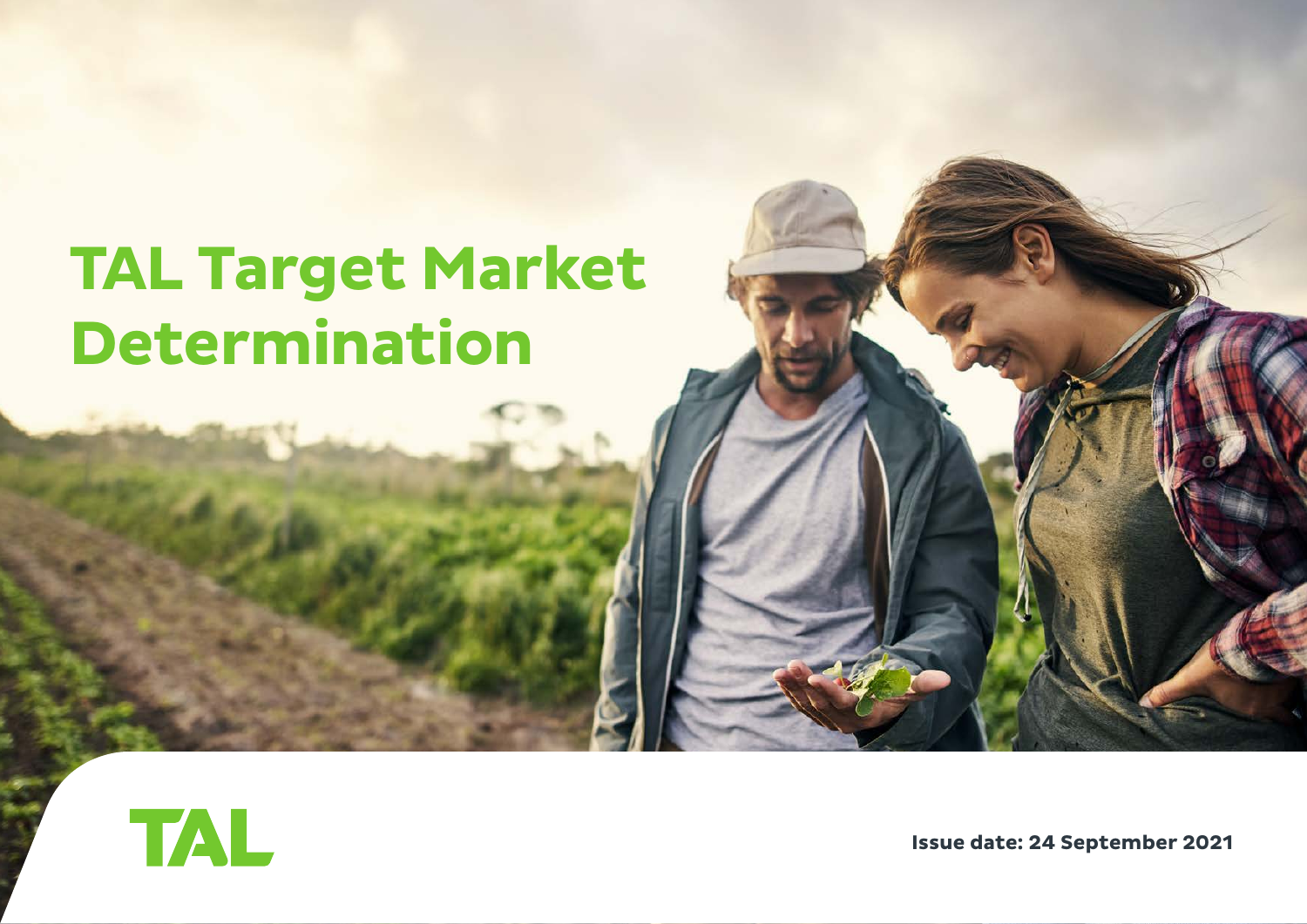# **TAL Target Market Determination**



**Issue date: 24 September 2021**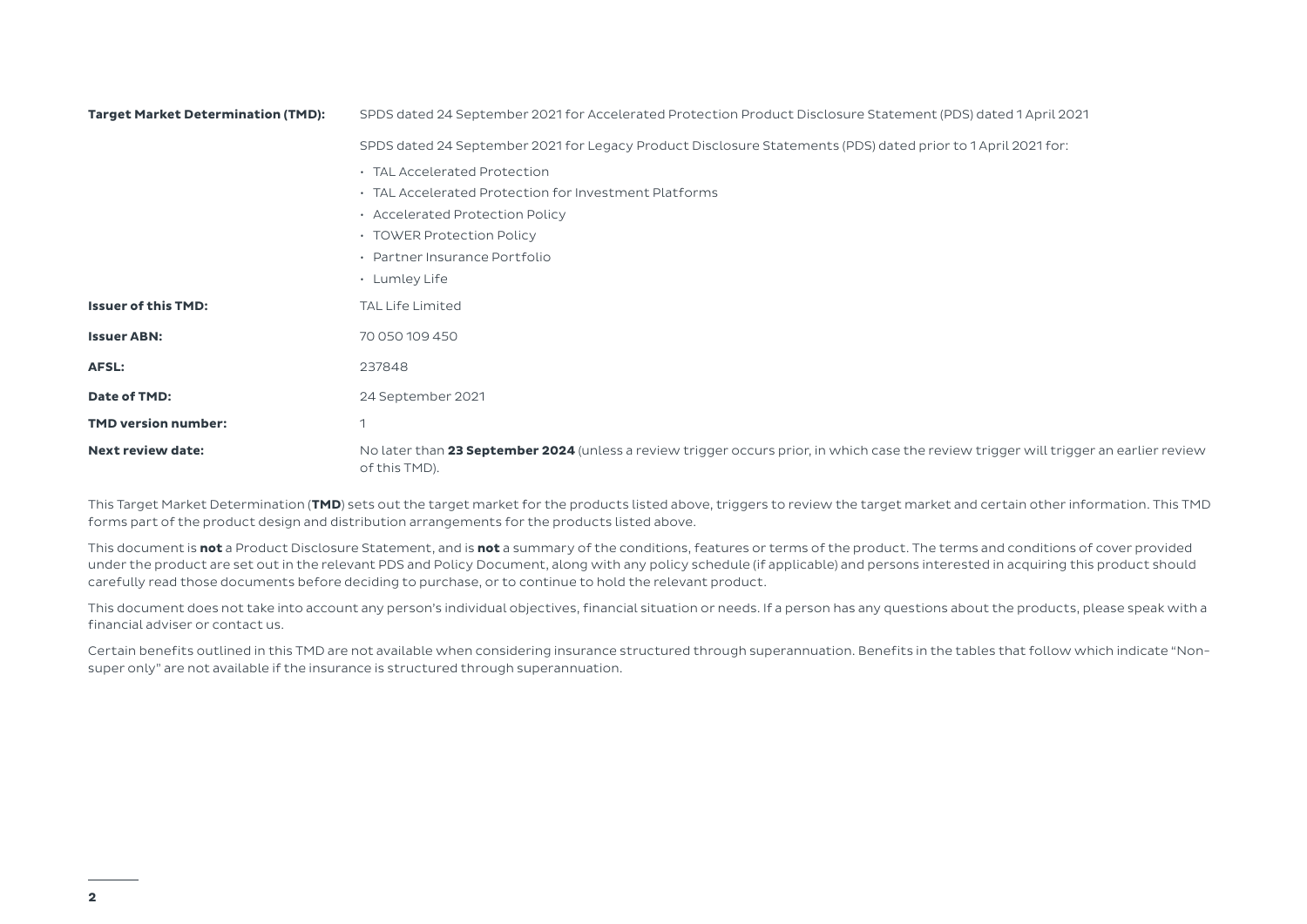| <b>Target Market Determination (TMD):</b> | SPDS dated 24 September 2021 for Accelerated Protection Product Disclosure Statement (PDS) dated 1 April 2021                                           |  |  |
|-------------------------------------------|---------------------------------------------------------------------------------------------------------------------------------------------------------|--|--|
|                                           | SPDS dated 24 September 2021 for Legacy Product Disclosure Statements (PDS) dated prior to 1 April 2021 for:                                            |  |  |
|                                           | · TAL Accelerated Protection                                                                                                                            |  |  |
|                                           | . TAL Accelerated Protection for Investment Platforms                                                                                                   |  |  |
|                                           | • Accelerated Protection Policy                                                                                                                         |  |  |
|                                           | • TOWER Protection Policy                                                                                                                               |  |  |
|                                           | • Partner Insurance Portfolio                                                                                                                           |  |  |
|                                           | • Lumley Life                                                                                                                                           |  |  |
| <b>Issuer of this TMD:</b>                | <b>TAL Life Limited</b>                                                                                                                                 |  |  |
| <b>Issuer ABN:</b>                        | 70 050 109 450                                                                                                                                          |  |  |
| AFSL:                                     | 237848                                                                                                                                                  |  |  |
| Date of TMD:                              | 24 September 2021                                                                                                                                       |  |  |
| <b>TMD version number:</b>                | $\overline{\phantom{a}}$                                                                                                                                |  |  |
| <b>Next review date:</b>                  | No later than 23 September 2024 (unless a review trigger occurs prior, in which case the review trigger will trigger an earlier review<br>of this TMD). |  |  |

This Target Market Determination (**TMD**) sets out the target market for the products listed above, triggers to review the target market and certain other information. This TMD forms part of the product design and distribution arrangements for the products listed above.

This document is **not** a Product Disclosure Statement, and is **not** a summary of the conditions, features or terms of the product. The terms and conditions of cover provided under the product are set out in the relevant PDS and Policy Document, along with any policy schedule (if applicable) and persons interested in acquiring this product should carefully read those documents before deciding to purchase, or to continue to hold the relevant product.

This document does not take into account any person's individual objectives, financial situation or needs. If a person has any questions about the products, please speak with a financial adviser or contact us.

Certain benefits outlined in this TMD are not available when considering insurance structured through superannuation. Benefits in the tables that follow which indicate "Nonsuper only" are not available if the insurance is structured through superannuation.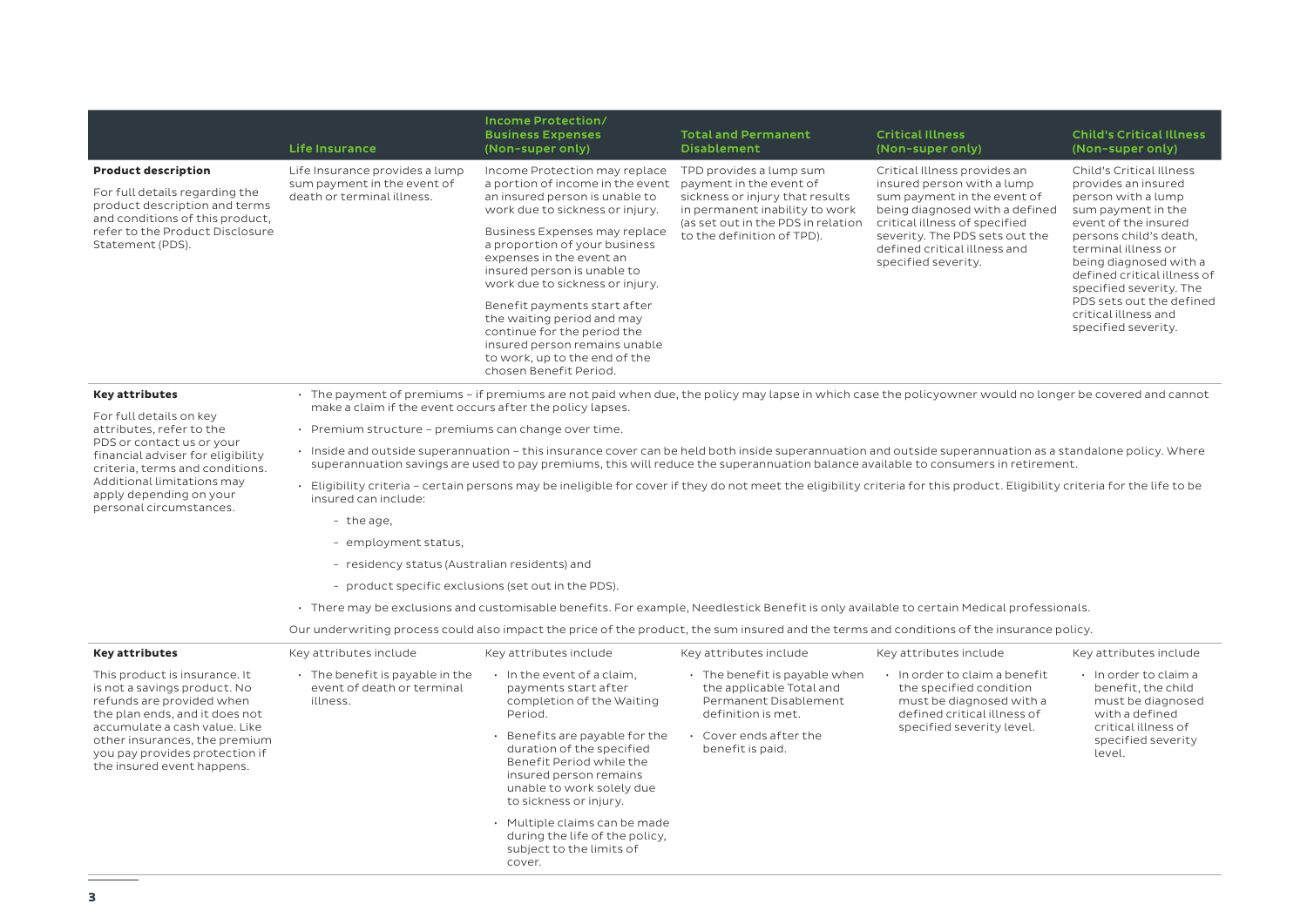|                                                                                                                                                                                                                                                                | <b>Life Insurance</b>                                                                                                                                                                                                                                                                            | Income Protection/<br><b>Business Expenses</b><br>(Non-super only)                                                                                                                    | <b>Total and Permanent</b><br><b>Disablement</b>                                                                                                                                            | <b>Critical Illness</b><br>(Non-super only)                                                                                                                                                                                                           | <b>Child's Critical Illness</b><br>(Non-super only)                                                                                                                                                                                                                                                                                 |  |
|----------------------------------------------------------------------------------------------------------------------------------------------------------------------------------------------------------------------------------------------------------------|--------------------------------------------------------------------------------------------------------------------------------------------------------------------------------------------------------------------------------------------------------------------------------------------------|---------------------------------------------------------------------------------------------------------------------------------------------------------------------------------------|---------------------------------------------------------------------------------------------------------------------------------------------------------------------------------------------|-------------------------------------------------------------------------------------------------------------------------------------------------------------------------------------------------------------------------------------------------------|-------------------------------------------------------------------------------------------------------------------------------------------------------------------------------------------------------------------------------------------------------------------------------------------------------------------------------------|--|
| <b>Product description</b><br>For full details regarding the<br>product description and terms<br>and conditions of this product,<br>refer to the Product Disclosure<br>Statement (PDS).                                                                        | Life Insurance provides a lump<br>sum payment in the event of<br>death or terminal illness.                                                                                                                                                                                                      | Income Protection may replace<br>a portion of income in the event<br>an insured person is unable to<br>work due to sickness or injury.                                                | TPD provides a lump sum<br>payment in the event of<br>sickness or injury that results<br>in permanent inability to work<br>(as set out in the PDS in relation<br>to the definition of TPD). | Critical Illness provides an<br>insured person with a lump<br>sum payment in the event of<br>being diagnosed with a defined<br>critical illness of specified<br>severity. The PDS sets out the<br>defined critical illness and<br>specified severity. | Child's Critical Illness<br>provides an insured<br>person with a lump<br>sum payment in the<br>event of the insured<br>persons child's death,<br>terminal illness or<br>being diagnosed with a<br>defined critical illness of<br>specified severity. The<br>PDS sets out the defined<br>critical illness and<br>specified severity. |  |
|                                                                                                                                                                                                                                                                |                                                                                                                                                                                                                                                                                                  | Business Expenses may replace<br>a proportion of your business<br>expenses in the event an<br>insured person is unable to<br>work due to sickness or injury.                          |                                                                                                                                                                                             |                                                                                                                                                                                                                                                       |                                                                                                                                                                                                                                                                                                                                     |  |
|                                                                                                                                                                                                                                                                |                                                                                                                                                                                                                                                                                                  | Benefit payments start after<br>the waiting period and may<br>continue for the period the<br>insured person remains unable<br>to work, up to the end of the<br>chosen Benefit Period. |                                                                                                                                                                                             |                                                                                                                                                                                                                                                       |                                                                                                                                                                                                                                                                                                                                     |  |
| <b>Key attributes</b>                                                                                                                                                                                                                                          |                                                                                                                                                                                                                                                                                                  | · The payment of premiums – if premiums are not paid when due, the policy may lapse in which case the policyowner would no longer be covered and cannot                               |                                                                                                                                                                                             |                                                                                                                                                                                                                                                       |                                                                                                                                                                                                                                                                                                                                     |  |
| For full details on key<br>attributes, refer to the                                                                                                                                                                                                            | make a claim if the event occurs after the policy lapses.<br>$\cdot$ Premium structure - premiums can change over time.                                                                                                                                                                          |                                                                                                                                                                                       |                                                                                                                                                                                             |                                                                                                                                                                                                                                                       |                                                                                                                                                                                                                                                                                                                                     |  |
| PDS or contact us or your<br>financial adviser for eligibility<br>criteria, terms and conditions.<br>Additional limitations may<br>apply depending on your<br>personal circumstances.                                                                          | · Inside and outside superannuation - this insurance cover can be held both inside superannuation and outside superannuation as a standalone policy. Where<br>superannuation savings are used to pay premiums, this will reduce the superannuation balance available to consumers in retirement. |                                                                                                                                                                                       |                                                                                                                                                                                             |                                                                                                                                                                                                                                                       |                                                                                                                                                                                                                                                                                                                                     |  |
|                                                                                                                                                                                                                                                                | · Eligibility criteria - certain persons may be ineligible for cover if they do not meet the eligibility criteria for this product. Eligibility criteria for the life to be<br>insured can include:                                                                                              |                                                                                                                                                                                       |                                                                                                                                                                                             |                                                                                                                                                                                                                                                       |                                                                                                                                                                                                                                                                                                                                     |  |
|                                                                                                                                                                                                                                                                | - the age,                                                                                                                                                                                                                                                                                       |                                                                                                                                                                                       |                                                                                                                                                                                             |                                                                                                                                                                                                                                                       |                                                                                                                                                                                                                                                                                                                                     |  |
|                                                                                                                                                                                                                                                                | - employment status,                                                                                                                                                                                                                                                                             |                                                                                                                                                                                       |                                                                                                                                                                                             |                                                                                                                                                                                                                                                       |                                                                                                                                                                                                                                                                                                                                     |  |
|                                                                                                                                                                                                                                                                | - residency status (Australian residents) and                                                                                                                                                                                                                                                    |                                                                                                                                                                                       |                                                                                                                                                                                             |                                                                                                                                                                                                                                                       |                                                                                                                                                                                                                                                                                                                                     |  |
|                                                                                                                                                                                                                                                                | - product specific exclusions (set out in the PDS).                                                                                                                                                                                                                                              |                                                                                                                                                                                       |                                                                                                                                                                                             |                                                                                                                                                                                                                                                       |                                                                                                                                                                                                                                                                                                                                     |  |
|                                                                                                                                                                                                                                                                | · There may be exclusions and customisable benefits. For example, Needlestick Benefit is only available to certain Medical professionals.                                                                                                                                                        |                                                                                                                                                                                       |                                                                                                                                                                                             |                                                                                                                                                                                                                                                       |                                                                                                                                                                                                                                                                                                                                     |  |
|                                                                                                                                                                                                                                                                |                                                                                                                                                                                                                                                                                                  | Our underwriting process could also impact the price of the product, the sum insured and the terms and conditions of the insurance policy.                                            |                                                                                                                                                                                             |                                                                                                                                                                                                                                                       |                                                                                                                                                                                                                                                                                                                                     |  |
| <b>Key attributes</b>                                                                                                                                                                                                                                          | Key attributes include                                                                                                                                                                                                                                                                           | Key attributes include                                                                                                                                                                | Key attributes include                                                                                                                                                                      | Key attributes include                                                                                                                                                                                                                                | Key attributes include                                                                                                                                                                                                                                                                                                              |  |
| This product is insurance. It<br>is not a savings product. No<br>refunds are provided when<br>the plan ends, and it does not<br>accumulate a cash value. Like<br>other insurances, the premium<br>you pay provides protection if<br>the insured event happens. | $\cdot$ The benefit is payable in the<br>event of death or terminal<br>illness.                                                                                                                                                                                                                  | · In the event of a claim,<br>payments start after<br>completion of the Waiting<br>Period.                                                                                            | $\cdot$ The benefit is payable when<br>the applicable Total and<br>Permanent Disablement<br>definition is met.                                                                              | · In order to claim a benefit<br>the specified condition<br>must be diagnosed with a<br>defined critical illness of<br>specified severity level.                                                                                                      | $\cdot$ In order to claim a<br>benefit, the child<br>must be diagnosed<br>with a defined<br>critical illness of<br>specified severity<br>level.                                                                                                                                                                                     |  |
|                                                                                                                                                                                                                                                                |                                                                                                                                                                                                                                                                                                  | Benefits are payable for the<br>duration of the specified<br>Benefit Period while the<br>insured person remains<br>unable to work solely due<br>to sickness or injury.                | Cover ends after the<br>benefit is paid.                                                                                                                                                    |                                                                                                                                                                                                                                                       |                                                                                                                                                                                                                                                                                                                                     |  |
|                                                                                                                                                                                                                                                                |                                                                                                                                                                                                                                                                                                  | · Multiple claims can be made<br>during the life of the policy,<br>subject to the limits of<br>cover.                                                                                 |                                                                                                                                                                                             |                                                                                                                                                                                                                                                       |                                                                                                                                                                                                                                                                                                                                     |  |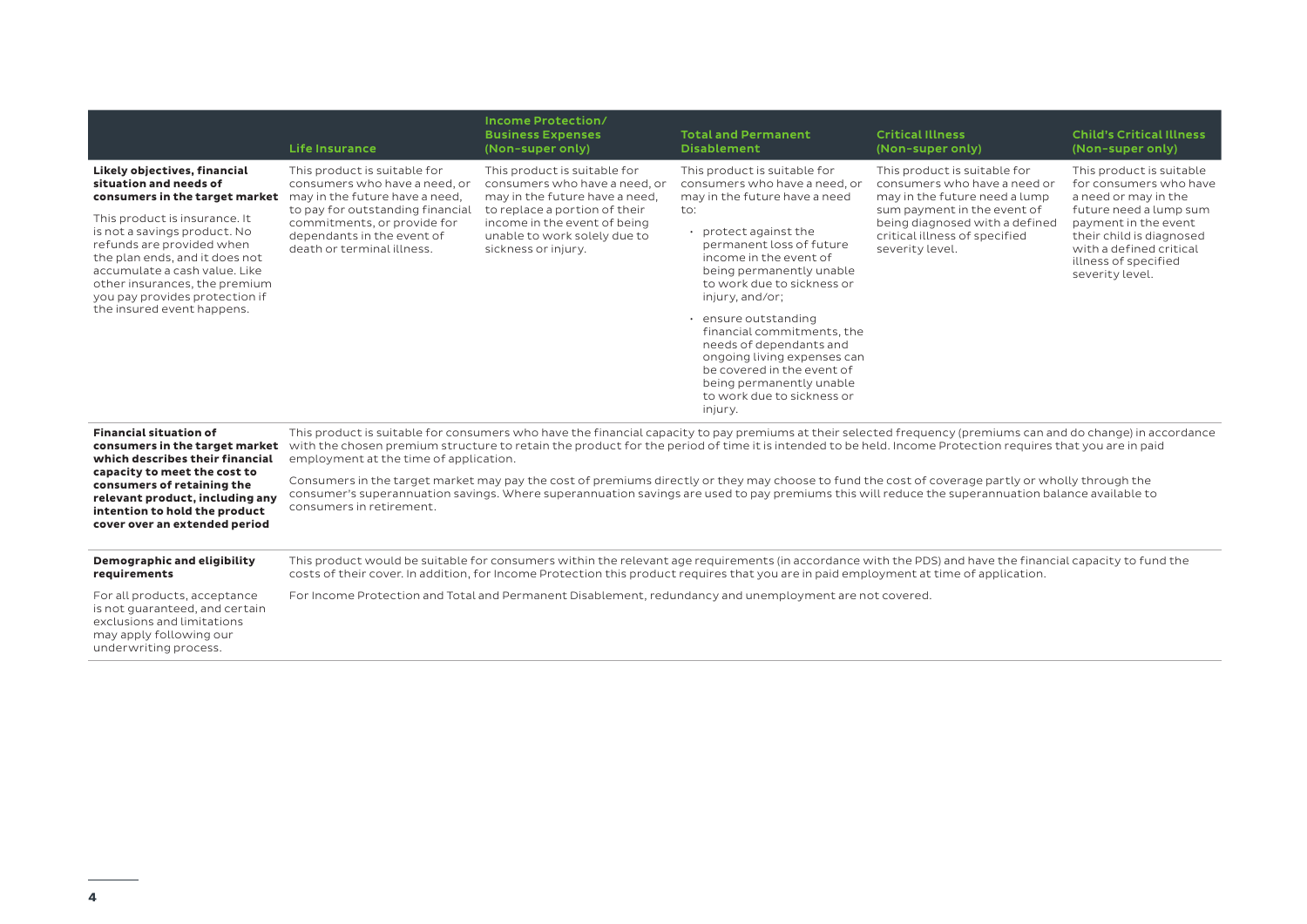|                                                                                                                                                                                                                                                                                                                                                                                           | <b>Life Insurance</b>                                                                                                                                                                                                                                                                                                                                                                                                                                                                                                                                                                                                                                                                                                                     | Income Protection/<br><b>Business Expenses</b><br>(Non-super only)                                                                                                                                                      | <b>Total and Permanent</b><br><b>Disablement</b>                                                                                                                                                                                                                                                                                                                                                                                                                                     | <b>Critical Illness</b><br>(Non-super only)                                                                                                                                                                        | <b>Child's Critical Illness</b><br>(Non-super only)                                                                                                                                                                            |
|-------------------------------------------------------------------------------------------------------------------------------------------------------------------------------------------------------------------------------------------------------------------------------------------------------------------------------------------------------------------------------------------|-------------------------------------------------------------------------------------------------------------------------------------------------------------------------------------------------------------------------------------------------------------------------------------------------------------------------------------------------------------------------------------------------------------------------------------------------------------------------------------------------------------------------------------------------------------------------------------------------------------------------------------------------------------------------------------------------------------------------------------------|-------------------------------------------------------------------------------------------------------------------------------------------------------------------------------------------------------------------------|--------------------------------------------------------------------------------------------------------------------------------------------------------------------------------------------------------------------------------------------------------------------------------------------------------------------------------------------------------------------------------------------------------------------------------------------------------------------------------------|--------------------------------------------------------------------------------------------------------------------------------------------------------------------------------------------------------------------|--------------------------------------------------------------------------------------------------------------------------------------------------------------------------------------------------------------------------------|
| Likely objectives, financial<br>situation and needs of<br>consumers in the target market may in the future have a need,<br>This product is insurance. It<br>is not a savings product. No<br>refunds are provided when<br>the plan ends, and it does not<br>accumulate a cash value. Like<br>other insurances, the premium<br>you pay provides protection if<br>the insured event happens. | This product is suitable for<br>consumers who have a need, or<br>to pay for outstanding financial<br>commitments, or provide for<br>dependants in the event of<br>death or terminal illness.                                                                                                                                                                                                                                                                                                                                                                                                                                                                                                                                              | This product is suitable for<br>consumers who have a need, or<br>may in the future have a need,<br>to replace a portion of their<br>income in the event of being<br>unable to work solely due to<br>sickness or injury. | This product is suitable for<br>consumers who have a need, or<br>may in the future have a need<br>to:<br>• protect against the<br>permanent loss of future<br>income in the event of<br>being permanently unable<br>to work due to sickness or<br>injury, and/or;<br>· ensure outstanding<br>financial commitments, the<br>needs of dependants and<br>ongoing living expenses can<br>be covered in the event of<br>being permanently unable<br>to work due to sickness or<br>injury. | This product is suitable for<br>consumers who have a need or<br>may in the future need a lump<br>sum payment in the event of<br>being diagnosed with a defined<br>critical illness of specified<br>severity level. | This product is suitable<br>for consumers who have<br>a need or may in the<br>future need a lump sum<br>payment in the event<br>their child is diagnosed<br>with a defined critical<br>illness of specified<br>severity level. |
| <b>Financial situation of</b><br>which describes their financial<br>capacity to meet the cost to<br>consumers of retaining the<br>relevant product, including any<br>intention to hold the product<br>cover over an extended period                                                                                                                                                       | This product is suitable for consumers who have the financial capacity to pay premiums at their selected frequency (premiums can and do change) in accordance<br>consumers in the target market with the chosen premium structure to retain the product for the period of time it is intended to be held. Income Protection requires that you are in paid<br>employment at the time of application.<br>Consumers in the target market may pay the cost of premiums directly or they may choose to fund the cost of coverage partly or wholly through the<br>consumer's superannuation savings. Where superannuation savings are used to pay premiums this will reduce the superannuation balance available to<br>consumers in retirement. |                                                                                                                                                                                                                         |                                                                                                                                                                                                                                                                                                                                                                                                                                                                                      |                                                                                                                                                                                                                    |                                                                                                                                                                                                                                |
| Demographic and eligibility<br>requirements                                                                                                                                                                                                                                                                                                                                               |                                                                                                                                                                                                                                                                                                                                                                                                                                                                                                                                                                                                                                                                                                                                           |                                                                                                                                                                                                                         | This product would be suitable for consumers within the relevant age requirements (in accordance with the PDS) and have the financial capacity to fund the<br>costs of their cover. In addition, for Income Protection this product requires that you are in paid employment at time of application.                                                                                                                                                                                 |                                                                                                                                                                                                                    |                                                                                                                                                                                                                                |
| For all products, acceptance<br>is not quaranteed, and certain<br>exclusions and limitations<br>may apply following our<br>underwriting process.                                                                                                                                                                                                                                          |                                                                                                                                                                                                                                                                                                                                                                                                                                                                                                                                                                                                                                                                                                                                           |                                                                                                                                                                                                                         | For Income Protection and Total and Permanent Disablement, redundancy and unemployment are not covered.                                                                                                                                                                                                                                                                                                                                                                              |                                                                                                                                                                                                                    |                                                                                                                                                                                                                                |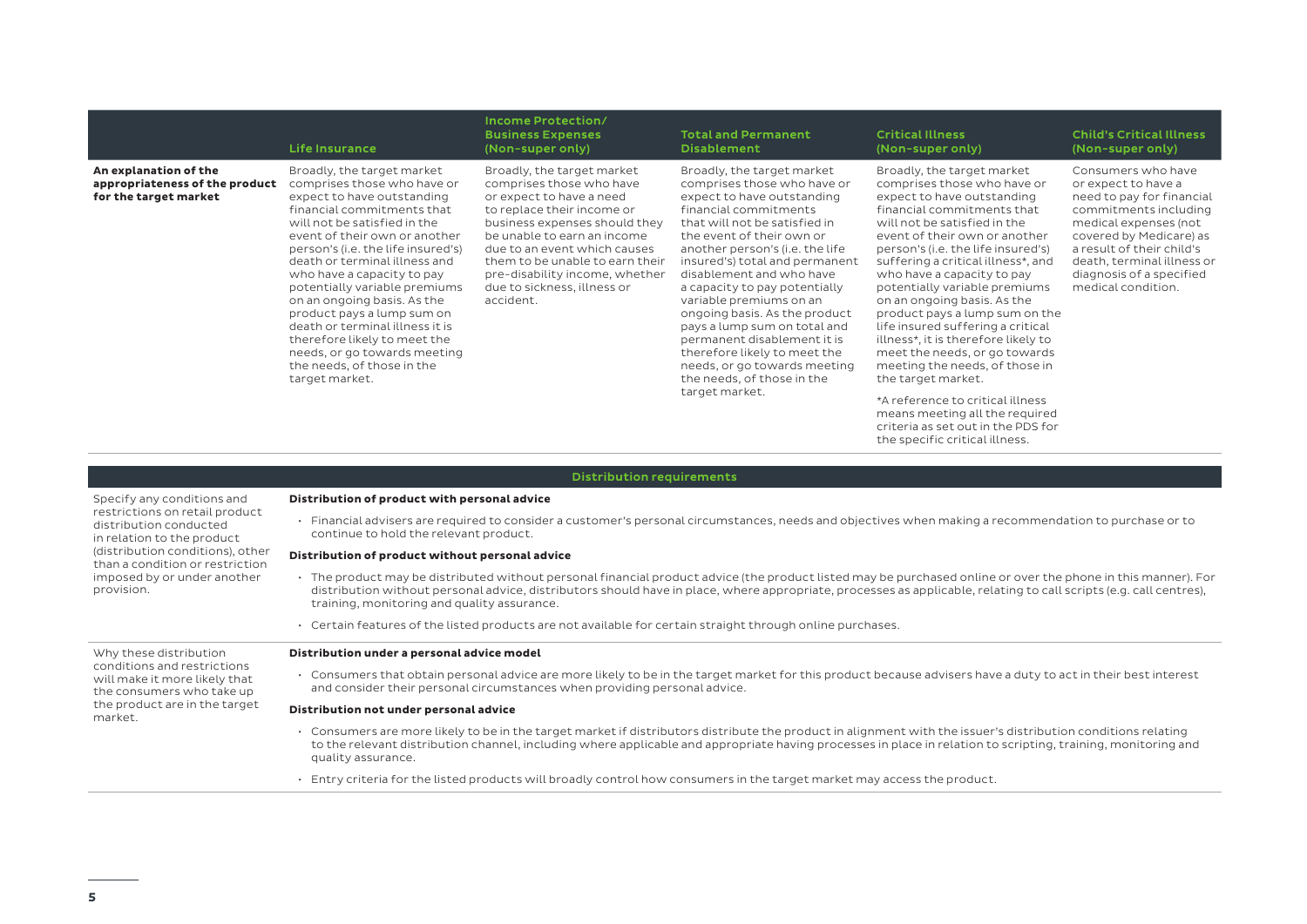|                                                                                  | <b>Life Insurance</b>                                                                                                                                                                                                                                                                                                                                                                                                                                                                                                                        | Income Protection/<br><b>Business Expenses</b><br>(Non-super only)                                                                                                                                                                                                                                                                | <b>Total and Permanent</b><br><b>Disablement</b>                                                                                                                                                                                                                                                                                                                                                                                                                                                                                                            | <b>Critical Illness</b><br>(Non-super only)                                                                                                                                                                                                                                                                                                                                                                                                                                                                                                                                                                                                                                         | <b>Child's Critical Illness</b><br>(Non-super only)                                                                                                                                                                                                              |
|----------------------------------------------------------------------------------|----------------------------------------------------------------------------------------------------------------------------------------------------------------------------------------------------------------------------------------------------------------------------------------------------------------------------------------------------------------------------------------------------------------------------------------------------------------------------------------------------------------------------------------------|-----------------------------------------------------------------------------------------------------------------------------------------------------------------------------------------------------------------------------------------------------------------------------------------------------------------------------------|-------------------------------------------------------------------------------------------------------------------------------------------------------------------------------------------------------------------------------------------------------------------------------------------------------------------------------------------------------------------------------------------------------------------------------------------------------------------------------------------------------------------------------------------------------------|-------------------------------------------------------------------------------------------------------------------------------------------------------------------------------------------------------------------------------------------------------------------------------------------------------------------------------------------------------------------------------------------------------------------------------------------------------------------------------------------------------------------------------------------------------------------------------------------------------------------------------------------------------------------------------------|------------------------------------------------------------------------------------------------------------------------------------------------------------------------------------------------------------------------------------------------------------------|
| An explanation of the<br>appropriateness of the product<br>for the target market | Broadly, the target market<br>comprises those who have or<br>expect to have outstanding<br>financial commitments that<br>will not be satisfied in the<br>event of their own or another<br>person's (i.e. the life insured's)<br>death or terminal illness and<br>who have a capacity to pay<br>potentially variable premiums<br>on an ongoing basis. As the<br>product pays a lump sum on<br>death or terminal illness it is<br>therefore likely to meet the<br>needs, or go towards meeting<br>the needs, of those in the<br>target market. | Broadly, the target market<br>comprises those who have<br>or expect to have a need<br>to replace their income or<br>business expenses should they<br>be unable to earn an income<br>due to an event which causes<br>them to be unable to earn their<br>pre-disability income, whether<br>due to sickness, illness or<br>accident. | Broadly, the target market<br>comprises those who have or<br>expect to have outstanding<br>financial commitments<br>that will not be satisfied in<br>the event of their own or<br>another person's (i.e. the life<br>insured's) total and permanent<br>disablement and who have<br>a capacity to pay potentially<br>variable premiums on an<br>ongoing basis. As the product<br>pays a lump sum on total and<br>permanent disablement it is<br>therefore likely to meet the<br>needs, or go towards meeting<br>the needs, of those in the<br>target market. | Broadly, the target market<br>comprises those who have or<br>expect to have outstanding<br>financial commitments that<br>will not be satisfied in the<br>event of their own or another<br>person's (i.e. the life insured's)<br>suffering a critical illness*, and<br>who have a capacity to pay<br>potentially variable premiums<br>on an ongoing basis. As the<br>product pays a lump sum on the<br>life insured suffering a critical<br>illness*, it is therefore likely to<br>meet the needs, or go towards<br>meeting the needs, of those in<br>the target market.<br>*A reference to critical illness<br>means meeting all the required<br>criteria as set out in the PDS for | Consumers who have<br>or expect to have a<br>need to pay for financial<br>commitments including<br>medical expenses (not<br>covered by Medicare) as<br>a result of their child's<br>death, terminal illness or<br>diagnosis of a specified<br>medical condition. |

## Distribution requirements

Specify any conditions and restrictions on retail product distribution conducted in relation to the product (distribution conditions), other than a condition or restriction imposed by or under another provision.

#### **Distribution of product with personal advice**

• Financial advisers are required to consider a customer's personal circumstances, needs and objectives when making a recommendation to purchase or to continue to hold the relevant product.

the specific critical illness.

## **Distribution of product without personal advice**

- The product may be distributed without personal financial product advice (the product listed may be purchased online or over the phone in this manner). For distribution without personal advice, distributors should have in place, where appropriate, processes as applicable, relating to call scripts (e.g. call centres), training, monitoring and quality assurance.
- Certain features of the listed products are not available for certain straight through online purchases.

# **Distribution under a personal advice model**

• Consumers that obtain personal advice are more likely to be in the target market for this product because advisers have a duty to act in their best interest and consider their personal circumstances when providing personal advice.

## **Distribution not under personal advice**

- Consumers are more likely to be in the target market if distributors distribute the product in alignment with the issuer's distribution conditions relating to the relevant distribution channel, including where applicable and appropriate having processes in place in relation to scripting, training, monitoring and quality assurance.
- Entry criteria for the listed products will broadly control how consumers in the target market may access the product.

Why these distribution conditions and restrictions will make it more likely that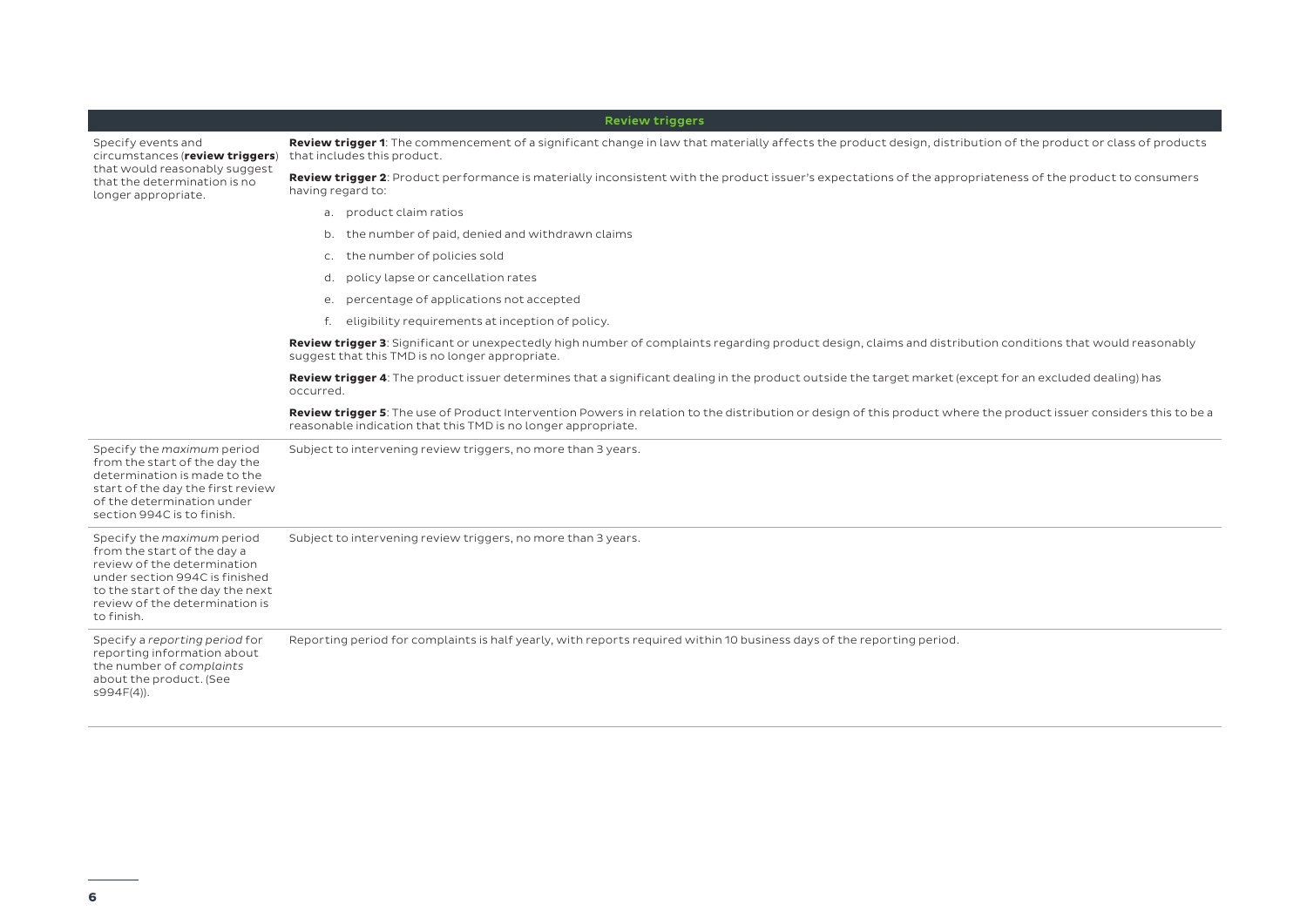|                                                                                                                                                                                                                | <b>Review triggers</b>                                                                                                                                                                                                              |  |  |  |
|----------------------------------------------------------------------------------------------------------------------------------------------------------------------------------------------------------------|-------------------------------------------------------------------------------------------------------------------------------------------------------------------------------------------------------------------------------------|--|--|--|
| Specify events and<br>circumstances (review triggers)<br>that would reasonably suggest<br>that the determination is no<br>longer appropriate.                                                                  | Review trigger 1: The commencement of a significant change in law that materially affects the product design, distribution of the product or class of products<br>that includes this product.                                       |  |  |  |
|                                                                                                                                                                                                                | Review trigger 2: Product performance is materially inconsistent with the product issuer's expectations of the appropriateness of the product to consumers<br>having regard to:                                                     |  |  |  |
|                                                                                                                                                                                                                | a. product claim ratios                                                                                                                                                                                                             |  |  |  |
|                                                                                                                                                                                                                | the number of paid, denied and withdrawn claims<br>b.                                                                                                                                                                               |  |  |  |
|                                                                                                                                                                                                                | the number of policies sold<br>$\mathsf{C}$ .                                                                                                                                                                                       |  |  |  |
|                                                                                                                                                                                                                | policy lapse or cancellation rates<br>d.                                                                                                                                                                                            |  |  |  |
|                                                                                                                                                                                                                | e. percentage of applications not accepted                                                                                                                                                                                          |  |  |  |
|                                                                                                                                                                                                                | f. eligibility requirements at inception of policy.                                                                                                                                                                                 |  |  |  |
|                                                                                                                                                                                                                | Review trigger 3: Significant or unexpectedly high number of complaints regarding product design, claims and distribution conditions that would reasonably<br>suggest that this TMD is no longer appropriate.                       |  |  |  |
|                                                                                                                                                                                                                | Review trigger 4: The product issuer determines that a significant dealing in the product outside the target market (except for an excluded dealing) has<br>occurred.                                                               |  |  |  |
|                                                                                                                                                                                                                | Review trigger 5: The use of Product Intervention Powers in relation to the distribution or design of this product where the product issuer considers this to be a<br>reasonable indication that this TMD is no longer appropriate. |  |  |  |
| Specify the maximum period<br>from the start of the day the<br>determination is made to the<br>start of the day the first review<br>of the determination under<br>section 994C is to finish.                   | Subject to intervening review triggers, no more than 3 years.                                                                                                                                                                       |  |  |  |
| Specify the maximum period<br>from the start of the day a<br>review of the determination<br>under section 994C is finished<br>to the start of the day the next<br>review of the determination is<br>to finish. | Subject to intervening review triggers, no more than 3 years.                                                                                                                                                                       |  |  |  |
| Specify a reporting period for<br>reporting information about<br>the number of complaints<br>about the product. (See<br>$S994F(4)$ ).                                                                          | Reporting period for complaints is half yearly, with reports required within 10 business days of the reporting period.                                                                                                              |  |  |  |